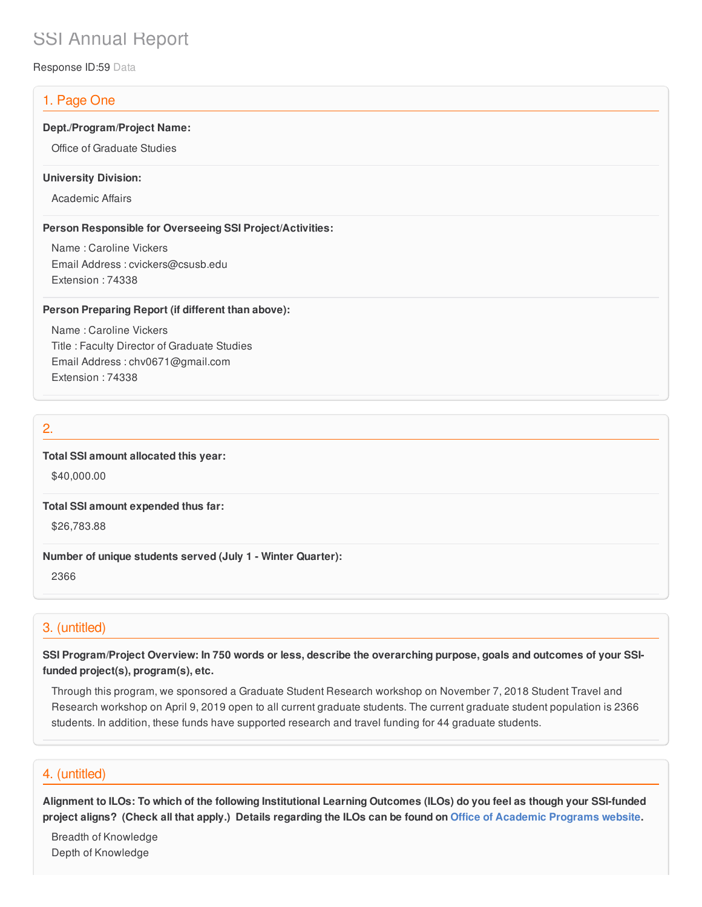# SSI Annual Report

Response ID:59 Data

# 1. Page One

#### **Dept./Program/Project Name:**

Office of Graduate Studies

#### **University Division:**

Academic Affairs

#### **Person Responsible for Overseeing SSI Project/Activities:**

Name : Caroline Vickers Email Address : cvickers@csusb.edu Extension : 74338

#### **Person Preparing Report (if different than above):**

Name : Caroline Vickers Title : Faculty Director of Graduate Studies Email Address : chv0671@gmail.com Extension : 74338

# 2.

**Total SSI amount allocated this year:**

\$40,000.00

**Total SSI amount expended thus far:**

\$26,783.88

**Number of unique students served (July 1 - Winter Quarter):**

2366

# 3. (untitled)

SSI Program/Project Overview: In 750 words or less, describe the overarching purpose, goals and outcomes of your SSI**funded project(s), program(s), etc.**

Through this program, we sponsored a Graduate Student Research workshop on November 7, 2018 Student Travel and Research workshop on April 9, 2019 open to all current graduate students. The current graduate student population is 2366 students. In addition, these funds have supported research and travel funding for 44 graduate students.

# 4. (untitled)

Alignment to ILOs: To which of the following Institutional Learning Outcomes (ILOs) do you feel as though your SSI-funded project aligns? (Check all that apply.) Details regarding the ILOs can be found on Office of [Academic](https://www.csusb.edu/sites/csusb/files/CSUSB_Institutional_Learning_Outcomes-Endorsed.pdf) Programs website.

Breadth of Knowledge Depth of Knowledge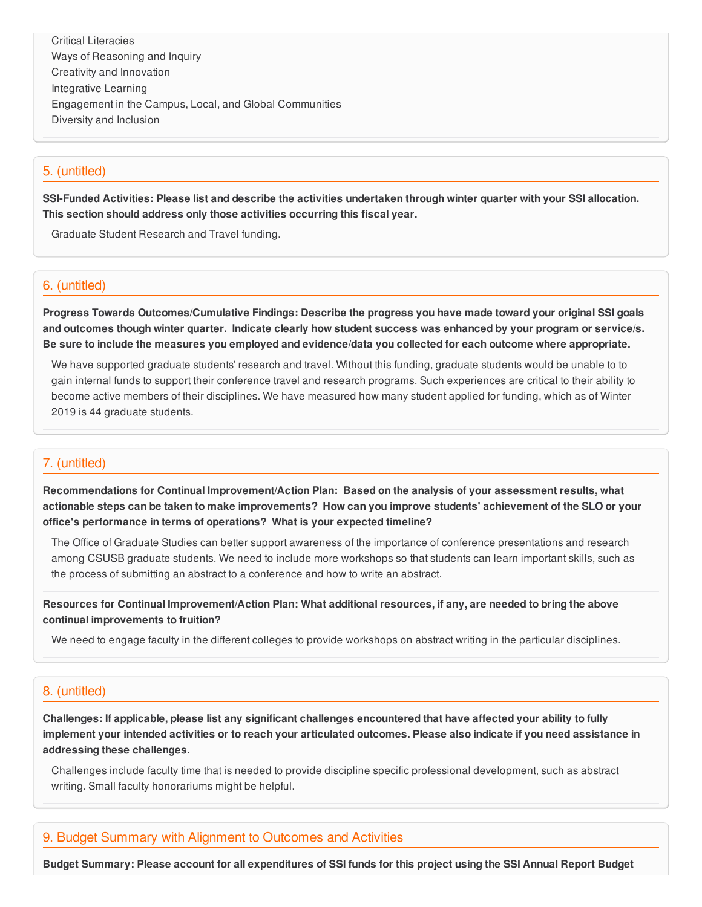Critical Literacies Ways of Reasoning and Inquiry Creativity and Innovation Integrative Learning Engagement in the Campus, Local, and Global Communities Diversity and Inclusion

## 5. (untitled)

SSI-Funded Activities: Please list and describe the activities undertaken through winter quarter with your SSI allocation. **This section should address only those activities occurring this fiscal year.**

Graduate Student Research and Travel funding.

## 6. (untitled)

**Progress Towards Outcomes/Cumulative Findings: Describe the progress you have made toward your original SSI goals** and outcomes though winter quarter. Indicate clearly how student success was enhanced by your program or service/s. Be sure to include the measures you employed and evidence/data you collected for each outcome where appropriate.

We have supported graduate students' research and travel. Without this funding, graduate students would be unable to to gain internal funds to support their conference travel and research programs. Such experiences are critical to their ability to become active members of their disciplines. We have measured how many student applied for funding, which as of Winter 2019 is 44 graduate students.

## 7. (untitled)

**Recommendations for Continual Improvement/Action Plan: Based on the analysis of your assessment results, what** actionable steps can be taken to make improvements? How can you improve students' achievement of the SLO or your **office's performance in terms of operations? What is your expected timeline?**

The Office of Graduate Studies can better support awareness of the importance of conference presentations and research among CSUSB graduate students. We need to include more workshops so that students can learn important skills, such as the process of submitting an abstract to a conference and how to write an abstract.

Resources for Continual Improvement/Action Plan: What additional resources, if any, are needed to bring the above **continual improvements to fruition?**

We need to engage faculty in the different colleges to provide workshops on abstract writing in the particular disciplines.

#### 8. (untitled)

Challenges: If applicable, please list any significant challenges encountered that have affected your ability to fully implement your intended activities or to reach your articulated outcomes. Please also indicate if you need assistance in **addressing these challenges.**

Challenges include faculty time that is needed to provide discipline specific professional development, such as abstract writing. Small faculty honorariums might be helpful.

### 9. Budget Summary with Alignment to Outcomes and Activities

Budget Summary: Please account for all expenditures of SSI funds for this project using the SSI Annual Report Budget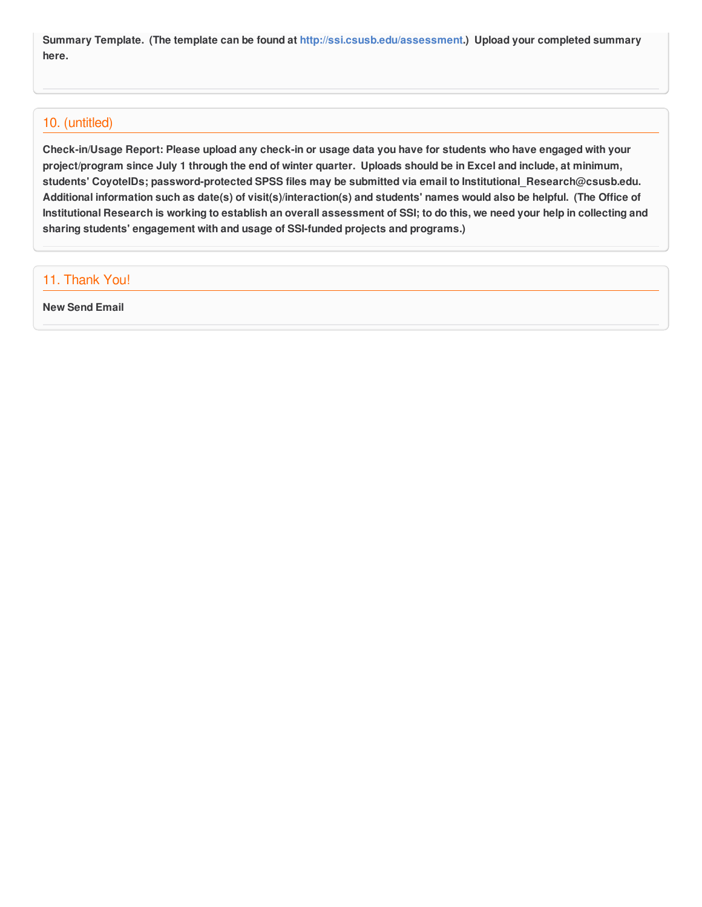**Summary Template. (The template can be found at <http://ssi.csusb.edu/assessment>.) Upload your completed summary here.**

## 10. (untitled)

Check-in/Usage Report: Please upload any check-in or usage data you have for students who have engaged with your project/program since July 1 through the end of winter quarter. Uploads should be in Excel and include, at minimum, **students' CoyoteIDs; password-protected SPSS files may be submitted via email to Institutional\_Research@csusb.edu.** Additional information such as date(s) of visit(s)/interaction(s) and students' names would also be helpful. (The Office of Institutional Research is working to establish an overall assessment of SSI; to do this, we need your help in collecting and **sharing students' engagement with and usage of SSI-funded projects and programs.)**

# 11. Thank You!

**New Send Email**